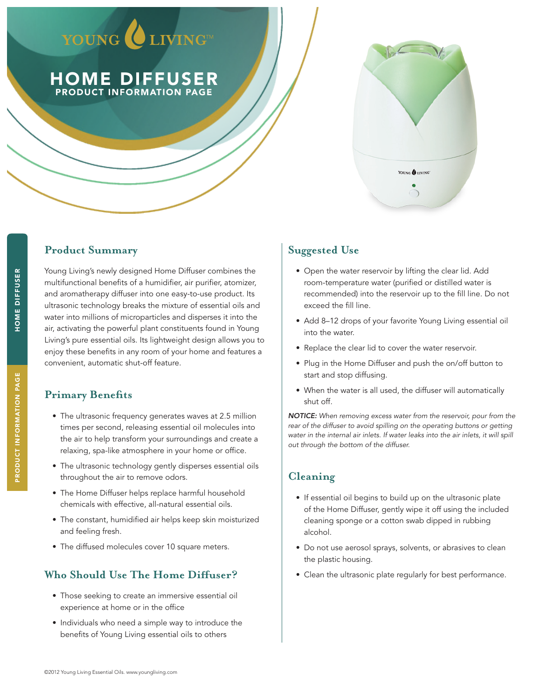# YOUNG CLIVING

PRODUCT INFORMATION PAGE HOME DIFFUSER



## **Product Summary**

Young Living's newly designed Home Diffuser combines the multifunctional benefits of a humidifier, air purifier, atomizer, and aromatherapy diffuser into one easy-to-use product. Its ultrasonic technology breaks the mixture of essential oils and water into millions of microparticles and disperses it into the air, activating the powerful plant constituents found in Young Living's pure essential oils. Its lightweight design allows you to enjoy these benefits in any room of your home and features a convenient, automatic shut-off feature.

# **Primary Benefits**

- The ultrasonic frequency generates waves at 2.5 million times per second, releasing essential oil molecules into the air to help transform your surroundings and create a relaxing, spa-like atmosphere in your home or office.
- The ultrasonic technology gently disperses essential oils throughout the air to remove odors.
- The Home Diffuser helps replace harmful household chemicals with effective, all-natural essential oils.
- The constant, humidified air helps keep skin moisturized and feeling fresh.
- The diffused molecules cover 10 square meters.

#### **Who Should Use The Home Diffuser?**

- Those seeking to create an immersive essential oil experience at home or in the office
- Individuals who need a simple way to introduce the benefits of Young Living essential oils to others

## **Suggested Use**

- Open the water reservoir by lifting the clear lid. Add room-temperature water (purified or distilled water is recommended) into the reservoir up to the fill line. Do not exceed the fill line.
- Add 8-12 drops of your favorite Young Living essential oil into the water.
- Replace the clear lid to cover the water reservoir.
- Plug in the Home Diffuser and push the on/off button to start and stop diffusing.
- When the water is all used, the diffuser will automatically shut off.

*NOTICE: When removing excess water from the reservoir, pour from the*  rear of the diffuser to avoid spilling on the operating buttons or getting water in the internal air inlets. If water leaks into the air inlets, it will spill *out through the bottom of the diffuser.*

## **Cleaning**

- • If essential oil begins to build up on the ultrasonic plate of the Home Diffuser, gently wipe it off using the included cleaning sponge or a cotton swab dipped in rubbing alcohol.
- Do not use aerosol sprays, solvents, or abrasives to clean the plastic housing.
- Clean the ultrasonic plate regularly for best performance.